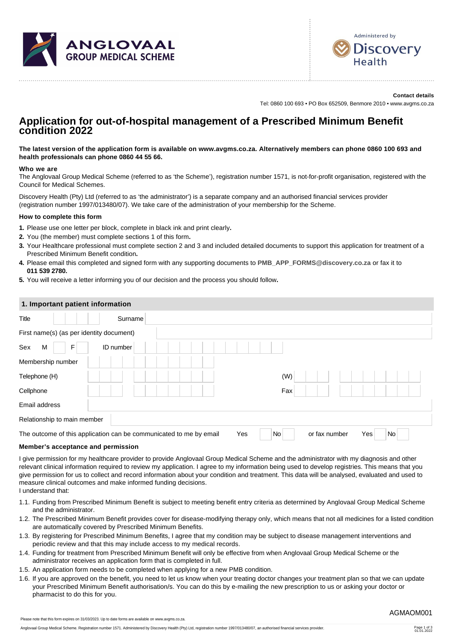



**Contact details** Tel: 0860 100 693 • PO Box 652509, Benmore 2010 • www.avgms.co.za

# **Application for out-of-hospital management of a Prescribed Minimum Benefit condition 2022**

**The latest version of the application form is available on www.avgms.co.za. Alternatively members can phone 0860 100 693 and health professionals can phone 0860 44 55 66.**

## **Who we are**

The Anglovaal Group Medical Scheme (referred to as 'the Scheme'), registration number 1571, is not-for-profit organisation, registered with the Council for Medical Schemes.

Discovery Health (Pty) Ltd (referred to as 'the administrator') is a separate company and an authorised financial services provider (registration number 1997/013480/07). We take care of the administration of your membership for the Scheme.

## **How to complete this form**

- **1.** Please use one letter per block, complete in black ink and print clearly**.**
- **2.** You (the member) must complete sections 1 of this form**.**
- **3.** Your Healthcare professional must complete section 2 and 3 and included detailed documents to support this application for treatment of a Prescribed Minimum Benefit condition**.**
- **4.** Please email this completed and signed form with any supporting documents to **[PMB\\_APP\\_FORMS@discovery.co.za](mailto:PMB_APP_FORMS@discovery.co.za)** or fax it to **011 539 2780.**
- **5.** You will receive a letter informing you of our decision and the process you should follow**.**

## **1. Important patient information**

| Title                                                              | Surname   |  |     |     |               |     |                |  |
|--------------------------------------------------------------------|-----------|--|-----|-----|---------------|-----|----------------|--|
| First name(s) (as per identity document)                           |           |  |     |     |               |     |                |  |
| Sex<br>M<br>F                                                      | ID number |  |     |     |               |     |                |  |
| Membership number                                                  |           |  |     |     |               |     |                |  |
| Telephone (H)                                                      |           |  |     | (W) |               |     |                |  |
| Cellphone                                                          |           |  |     | Fax |               |     |                |  |
| Email address                                                      |           |  |     |     |               |     |                |  |
| Relationship to main member                                        |           |  |     |     |               |     |                |  |
| The outcome of this application can be communicated to me by email |           |  | Yes | No  | or fax number | Yes | N <sub>o</sub> |  |

#### **Member's acceptance and permission**

I give permission for my healthcare provider to provide Anglovaal Group Medical Scheme and the administrator with my diagnosis and other relevant clinical information required to review my application. I agree to my information being used to develop registries. This means that you give permission for us to collect and record information about your condition and treatment. This data will be analysed, evaluated and used to measure clinical outcomes and make informed funding decisions. I understand that:

- 1.1. Funding from Prescribed Minimum Benefit is subject to meeting benefit entry criteria as determined by Anglovaal Group Medical Scheme and the administrator.
- 1.2. The Prescribed Minimum Benefit provides cover for disease-modifying therapy only, which means that not all medicines for a listed condition are automatically covered by Prescribed Minimum Benefits.
- 1.3. By registering for Prescribed Minimum Benefits, I agree that my condition may be subject to disease management interventions and periodic review and that this may include access to my medical records.
- 1.4. Funding for treatment from Prescribed Minimum Benefit will only be effective from when Anglovaal Group Medical Scheme or the administrator receives an application form that is completed in full.
- 1.5. An application form needs to be completed when applying for a new PMB condition.
- 1.6. If you are approved on the benefit, you need to let us know when your treating doctor changes your treatment plan so that we can update your Prescribed Minimum Benefit authorisation/s. You can do this by e-mailing the new prescription to us or asking your doctor or pharmacist to do this for you.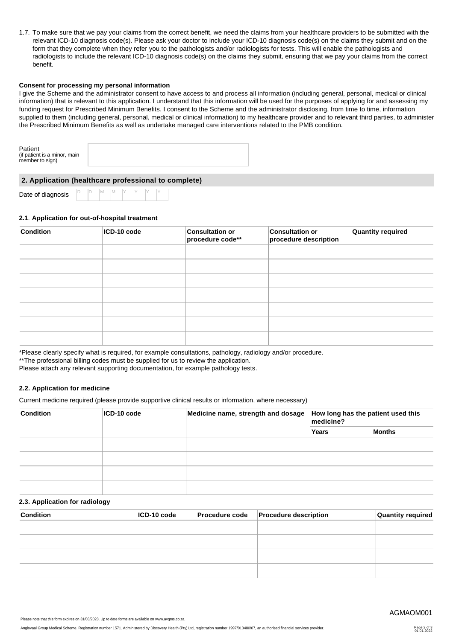1.7. To make sure that we pay your claims from the correct benefit, we need the claims from your healthcare providers to be submitted with the relevant ICD-10 diagnosis code(s). Please ask your doctor to include your ICD-10 diagnosis code(s) on the claims they submit and on the form that they complete when they refer you to the pathologists and/or radiologists for tests. This will enable the pathologists and radiologists to include the relevant ICD-10 diagnosis code(s) on the claims they submit, ensuring that we pay your claims from the correct benefit.

#### **Consent for processing my personal information**

I give the Scheme and the administrator consent to have access to and process all information (including general, personal, medical or clinical information) that is relevant to this application. I understand that this information will be used for the purposes of applying for and assessing my funding request for Prescribed Minimum Benefits. I consent to the Scheme and the administrator disclosing, from time to time, information supplied to them (including general, personal, medical or clinical information) to my healthcare provider and to relevant third parties, to administer the Prescribed Minimum Benefits as well as undertake managed care interventions related to the PMB condition.

| Patient<br>(if patient is a minor, main<br>member to sign) |
|------------------------------------------------------------|
|------------------------------------------------------------|

# **2. Application (healthcare professional to complete)**

Date of diagnosis

D D M M Y Y Y Y

## **2.1**. **Application for out-of-hospital treatment**

| <b>Condition</b><br>ICD-10 code |  | <b>Consultation or</b><br>procedure code** | <b>Consultation or</b><br>procedure description | Quantity required |  |  |
|---------------------------------|--|--------------------------------------------|-------------------------------------------------|-------------------|--|--|
|                                 |  |                                            |                                                 |                   |  |  |
|                                 |  |                                            |                                                 |                   |  |  |
|                                 |  |                                            |                                                 |                   |  |  |
|                                 |  |                                            |                                                 |                   |  |  |
|                                 |  |                                            |                                                 |                   |  |  |
|                                 |  |                                            |                                                 |                   |  |  |
|                                 |  |                                            |                                                 |                   |  |  |

\*Please clearly specify what is required, for example consultations, pathology, radiology and/or procedure.

\*\*The professional billing codes must be supplied for us to review the application.

Please attach any relevant supporting documentation, for example pathology tests.

## **2.2. Application for medicine**

Current medicine required (please provide supportive clinical results or information, where necessary)

| <b>Condition</b> | $ICD-10 code$ | Medicine name, strength and dosage | How long has the patient used this<br>medicine? |        |  |  |  |  |
|------------------|---------------|------------------------------------|-------------------------------------------------|--------|--|--|--|--|
|                  |               |                                    | Years                                           | Months |  |  |  |  |
|                  |               |                                    |                                                 |        |  |  |  |  |
|                  |               |                                    |                                                 |        |  |  |  |  |
|                  |               |                                    |                                                 |        |  |  |  |  |
|                  |               |                                    |                                                 |        |  |  |  |  |

#### **2.3. Application for radiology**

| <b>Condition</b> | ICD-10 code | <b>Procedure code</b> | <b>Procedure description</b> | Quantity required |
|------------------|-------------|-----------------------|------------------------------|-------------------|
|                  |             |                       |                              |                   |
|                  |             |                       |                              |                   |
|                  |             |                       |                              |                   |
|                  |             |                       |                              |                   |
|                  |             |                       |                              |                   |